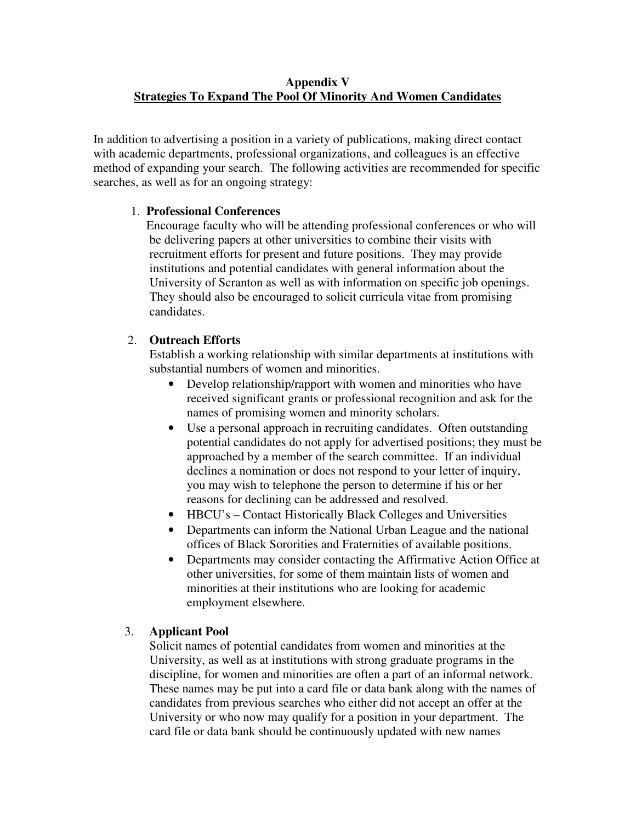#### **Appendix V Strategies To Expand The Pool Of Minority And Women Candidates**

In addition to advertising a position in a variety of publications, making direct contact with academic departments, professional organizations, and colleagues is an effective method of expanding your search. The following activities are recommended for specific searches, as well as for an ongoing strategy:

# 1. **Professional Conferences**

 Encourage faculty who will be attending professional conferences or who will be delivering papers at other universities to combine their visits with recruitment efforts for present and future positions. They may provide institutions and potential candidates with general information about the University of Scranton as well as with information on specific job openings. They should also be encouraged to solicit curricula vitae from promising candidates.

# 2. **Outreach Efforts**

 Establish a working relationship with similar departments at institutions with substantial numbers of women and minorities.

- Develop relationship/rapport with women and minorities who have received significant grants or professional recognition and ask for the names of promising women and minority scholars.
- Use a personal approach in recruiting candidates. Often outstanding potential candidates do not apply for advertised positions; they must be approached by a member of the search committee. If an individual declines a nomination or does not respond to your letter of inquiry, you may wish to telephone the person to determine if his or her reasons for declining can be addressed and resolved.
- HBCU's Contact Historically Black Colleges and Universities
- Departments can inform the National Urban League and the national offices of Black Sororities and Fraternities of available positions.
- Departments may consider contacting the Affirmative Action Office at other universities, for some of them maintain lists of women and minorities at their institutions who are looking for academic employment elsewhere.

# 3. **Applicant Pool**

Solicit names of potential candidates from women and minorities at the University, as well as at institutions with strong graduate programs in the discipline, for women and minorities are often a part of an informal network. These names may be put into a card file or data bank along with the names of candidates from previous searches who either did not accept an offer at the University or who now may qualify for a position in your department. The card file or data bank should be continuously updated with new names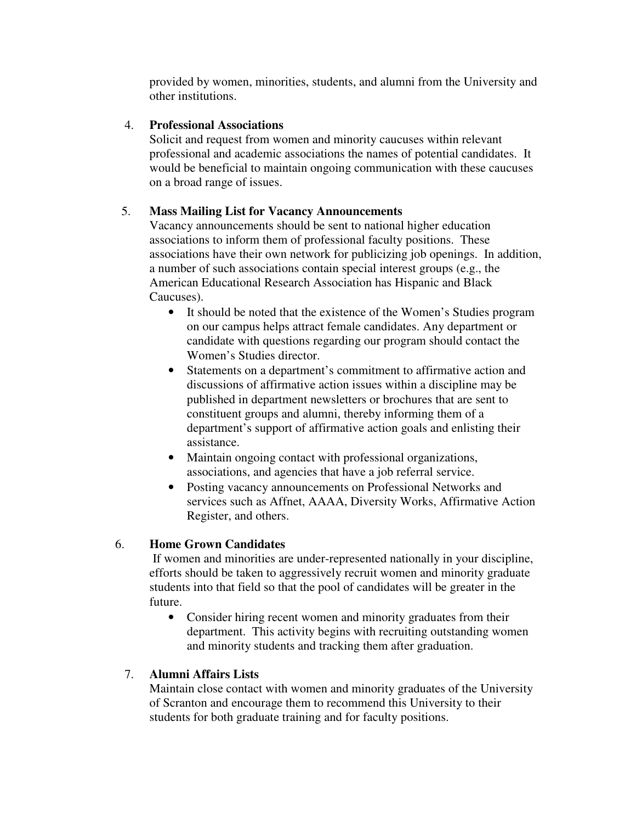provided by women, minorities, students, and alumni from the University and other institutions.

#### 4. **Professional Associations**

 Solicit and request from women and minority caucuses within relevant professional and academic associations the names of potential candidates. It would be beneficial to maintain ongoing communication with these caucuses on a broad range of issues.

# 5. **Mass Mailing List for Vacancy Announcements**

 Vacancy announcements should be sent to national higher education associations to inform them of professional faculty positions. These associations have their own network for publicizing job openings. In addition, a number of such associations contain special interest groups (e.g., the American Educational Research Association has Hispanic and Black Caucuses).

- It should be noted that the existence of the Women's Studies program on our campus helps attract female candidates. Any department or candidate with questions regarding our program should contact the Women's Studies director.
- Statements on a department's commitment to affirmative action and discussions of affirmative action issues within a discipline may be published in department newsletters or brochures that are sent to constituent groups and alumni, thereby informing them of a department's support of affirmative action goals and enlisting their assistance.
- Maintain ongoing contact with professional organizations, associations, and agencies that have a job referral service.
- Posting vacancy announcements on Professional Networks and services such as Affnet, AAAA, Diversity Works, Affirmative Action Register, and others.

# 6. **Home Grown Candidates**

If women and minorities are under-represented nationally in your discipline, efforts should be taken to aggressively recruit women and minority graduate students into that field so that the pool of candidates will be greater in the future.

• Consider hiring recent women and minority graduates from their department. This activity begins with recruiting outstanding women and minority students and tracking them after graduation.

# 7. **Alumni Affairs Lists**

Maintain close contact with women and minority graduates of the University of Scranton and encourage them to recommend this University to their students for both graduate training and for faculty positions.